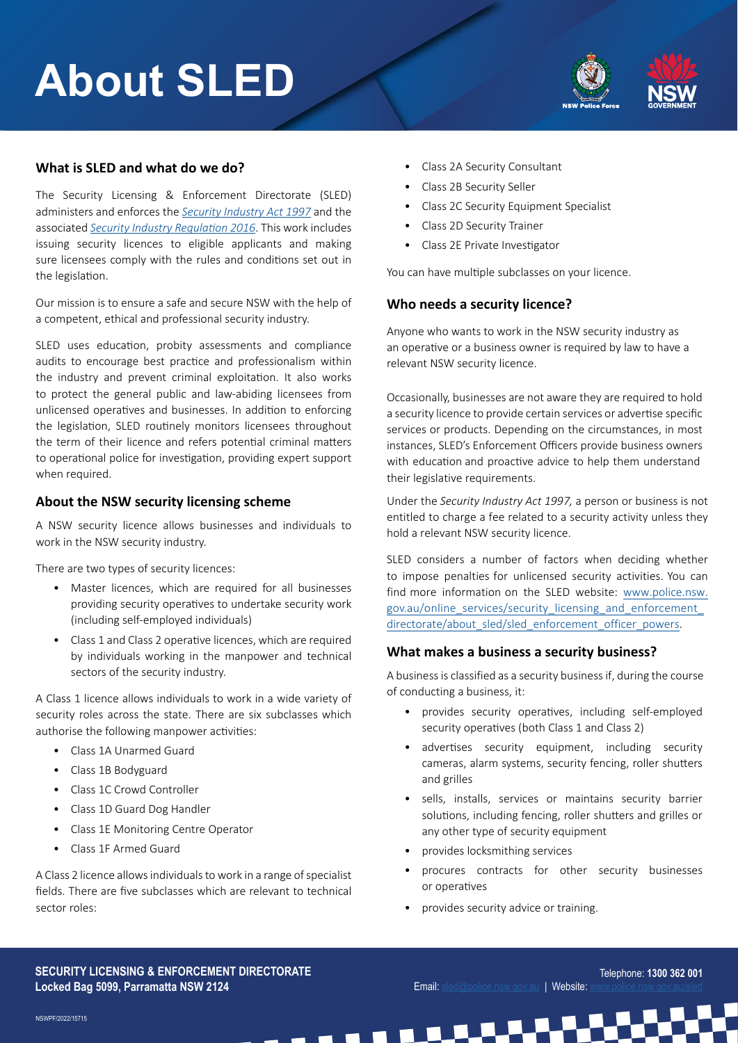# **About SLED**



# **What is SLED and what do we do?**

The Security Licensing & Enforcement Directorate (SLED) administers and enforces the *[Security Industry Act 1997](https://www.legislation.nsw.gov.au/view/html/inforce/current/act-1997-157)* and the associated *[Security Industry Regulation 2016](https://legislation.nsw.gov.au/view/html/inforce/current/sl-2016-0557)*. This work includes issuing security licences to eligible applicants and making sure licensees comply with the rules and conditions set out in the legislation.

Our mission is to ensure a safe and secure NSW with the help of a competent, ethical and professional security industry.

SLED uses education, probity assessments and compliance audits to encourage best practice and professionalism within the industry and prevent criminal exploitation. It also works to protect the general public and law-abiding licensees from unlicensed operatives and businesses. In addition to enforcing the legislation, SLED routinely monitors licensees throughout the term of their licence and refers potential criminal matters to operational police for investigation, providing expert support when required.

### **About the NSW security licensing scheme**

A NSW security licence allows businesses and individuals to work in the NSW security industry.

There are two types of security licences:

- Master licences, which are required for all businesses providing security operatives to undertake security work (including self-employed individuals)
- Class 1 and Class 2 operative licences, which are required by individuals working in the manpower and technical sectors of the security industry.

A Class 1 licence allows individuals to work in a wide variety of security roles across the state. There are six subclasses which authorise the following manpower activities:

- Class 1A Unarmed Guard
- Class 1B Bodyguard
- Class 1C Crowd Controller
- Class 1D Guard Dog Handler
- Class 1E Monitoring Centre Operator
- Class 1F Armed Guard

A Class 2 licence allows individuals to work in a range of specialist fields. There are five subclasses which are relevant to technical sector roles:

- Class 2A Security Consultant
- Class 2B Security Seller
- Class 2C Security Equipment Specialist
- Class 2D Security Trainer
- Class 2E Private Investigator

You can have multiple subclasses on your licence.

### **Who needs a security licence?**

Anyone who wants to work in the NSW security industry as an operative or a business owner is required by law to have a relevant NSW security licence.

Occasionally, businesses are not aware they are required to hold a security licence to provide certain services or advertise specific services or products. Depending on the circumstances, in most instances, SLED's Enforcement Officers provide business owners with education and proactive advice to help them understand their legislative requirements.

Under the *Security Industry Act 1997,* a person or business is not entitled to charge a fee related to a security activity unless they hold a relevant NSW security licence.

SLED considers a number of factors when deciding whether to impose penalties for unlicensed security activities. You can find more information on the SLED website: [www.police.nsw.](http://www.police.nsw.gov.au/online_services/security_licensing_and_enforcement_directorate/about_sled/sled_enforcement_officer_powers) [gov.au/online\\_services/security\\_licensing\\_and\\_enforcement\\_](http://www.police.nsw.gov.au/online_services/security_licensing_and_enforcement_directorate/about_sled/sled_enforcement_officer_powers) [directorate/about\\_sled/sled\\_enforcement\\_officer\\_powers](http://www.police.nsw.gov.au/online_services/security_licensing_and_enforcement_directorate/about_sled/sled_enforcement_officer_powers).

#### **What makes a business a security business?**

A business is classified as a security business if, during the course of conducting a business, it:

- provides security operatives, including self-employed security operatives (both Class 1 and Class 2)
- advertises security equipment, including security cameras, alarm systems, security fencing, roller shutters and grilles
- sells, installs, services or maintains security barrier solutions, including fencing, roller shutters and grilles or any other type of security equipment
- provides locksmithing services
- procures contracts for other security businesses or operatives
- provides security advice or training.

**SECURITY LICENSING & ENFORCEMENT DIRECTORATE Locked Bag 5099, Parramatta NSW 2124**